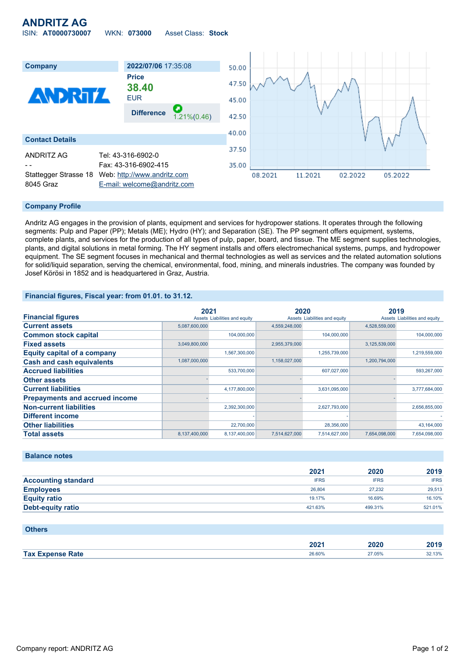# **ANDRITZ AG** ISIN: **AT0000730007** WKN: **073000** Asset Class: **Stock**



### **Company Profile**

Andritz AG engages in the provision of plants, equipment and services for hydropower stations. It operates through the following segments: Pulp and Paper (PP); Metals (ME); Hydro (HY); and Separation (SE). The PP segment offers equipment, systems, complete plants, and services for the production of all types of pulp, paper, board, and tissue. The ME segment supplies technologies, plants, and digital solutions in metal forming. The HY segment installs and offers electromechanical systems, pumps, and hydropower equipment. The SE segment focuses in mechanical and thermal technologies as well as services and the related automation solutions for solid/liquid separation, serving the chemical, environmental, food, mining, and minerals industries. The company was founded by Josef Körösi in 1852 and is headquartered in Graz, Austria.

### **Financial figures, Fiscal year: from 01.01. to 31.12.**

|                                       | 2021          |                               | 2020          |                               | 2019          |                               |
|---------------------------------------|---------------|-------------------------------|---------------|-------------------------------|---------------|-------------------------------|
| <b>Financial figures</b>              |               | Assets Liabilities and equity |               | Assets Liabilities and equity |               | Assets Liabilities and equity |
| <b>Current assets</b>                 | 5,087,600,000 |                               | 4,559,248,000 |                               | 4,528,559,000 |                               |
| <b>Common stock capital</b>           |               | 104,000,000                   |               | 104,000,000                   |               | 104,000,000                   |
| <b>Fixed assets</b>                   | 3,049,800,000 |                               | 2,955,379,000 |                               | 3,125,539,000 |                               |
| <b>Equity capital of a company</b>    |               | 1,567,300,000                 |               | 1,255,739,000                 |               | 1,219,559,000                 |
| <b>Cash and cash equivalents</b>      | 1,087,000,000 |                               | 1,158,027,000 |                               | 1,200,794,000 |                               |
| <b>Accrued liabilities</b>            |               | 533,700,000                   |               | 607,027,000                   |               | 593,267,000                   |
| <b>Other assets</b>                   |               |                               |               |                               |               |                               |
| <b>Current liabilities</b>            |               | 4,177,800,000                 |               | 3,631,095,000                 |               | 3,777,684,000                 |
| <b>Prepayments and accrued income</b> |               |                               |               |                               |               |                               |
| <b>Non-current liabilities</b>        |               | 2,392,300,000                 |               | 2,627,793,000                 |               | 2,656,855,000                 |
| <b>Different income</b>               |               |                               |               |                               |               |                               |
| <b>Other liabilities</b>              |               | 22,700,000                    |               | 28,356,000                    |               | 43,164,000                    |
| <b>Total assets</b>                   | 8,137,400,000 | 8.137.400.000                 | 7.514.627.000 | 7.514.627.000                 | 7.654.098.000 | 7.654.098.000                 |

#### **Balance notes**

|                            | 2021        | 2020        | 2019        |
|----------------------------|-------------|-------------|-------------|
| <b>Accounting standard</b> | <b>IFRS</b> | <b>IFRS</b> | <b>IFRS</b> |
| <b>Employees</b>           | 26,804      | 27.232      | 29,513      |
| <b>Equity ratio</b>        | 19.17%      | 16.69%      | 16.10%      |
| <b>Debt-equity ratio</b>   | 421.63%     | 499.31%     | 521.01%     |

| <b>Others</b>           |                  |        |        |
|-------------------------|------------------|--------|--------|
|                         | 202 <sup>2</sup> | 2020   | 2019   |
| <b>Tax Expense Rate</b> | 26.60%           | 27.05% | 32.13% |